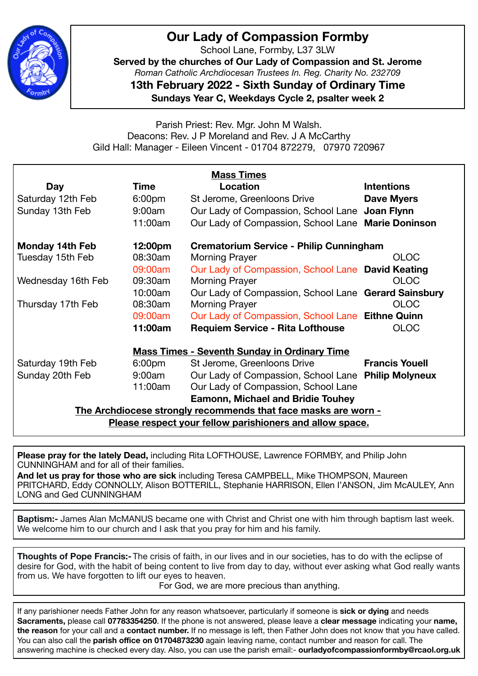

## **Our Lady of Compassion Formby**

School Lane, Formby, L37 3LW

**Served by the churches of Our Lady of Compassion and St. Jerome**  *Roman Catholic Archdiocesan Trustees In. Reg. Charity No. 232709* 

**13th February 2022 - Sixth Sunday of Ordinary Time**

**Sundays Year C, Weekdays Cycle 2, psalter week 2** 

Parish Priest: Rev. Mgr. John M Walsh. Deacons: Rev. J P Moreland and Rev. J A McCarthy Gild Hall: Manager - Eileen Vincent - 01704 872279, 07970 720967

| <b>Mass Times</b>                                              |                    |                                                      |                       |  |
|----------------------------------------------------------------|--------------------|------------------------------------------------------|-----------------------|--|
| Day                                                            | Time               | Location                                             | <b>Intentions</b>     |  |
| Saturday 12th Feb                                              | 6:00 <sub>pm</sub> | St Jerome, Greenloons Drive                          | <b>Dave Myers</b>     |  |
| Sunday 13th Feb                                                | 9:00am             | Our Lady of Compassion, School Lane Joan Flynn       |                       |  |
|                                                                | 11:00am            | Our Lady of Compassion, School Lane Marie Doninson   |                       |  |
| <b>Monday 14th Feb</b>                                         | 12:00pm            | Crematorium Service - Philip Cunningham              |                       |  |
| Tuesday 15th Feb                                               | 08:30am            | Morning Prayer                                       | <b>OLOC</b>           |  |
|                                                                | 09:00am            | Our Lady of Compassion, School Lane David Keating    |                       |  |
| Wednesday 16th Feb                                             | 09:30am            | <b>Morning Prayer</b>                                | <b>OLOC</b>           |  |
|                                                                | 10:00am            | Our Lady of Compassion, School Lane Gerard Sainsbury |                       |  |
| Thursday 17th Feb                                              | 08:30am            | <b>Morning Prayer</b>                                | <b>OLOC</b>           |  |
|                                                                | 09:00am            | Our Lady of Compassion, School Lane Eithne Quinn     |                       |  |
|                                                                | 11:00am            | <b>Requiem Service - Rita Lofthouse</b>              | <b>OLOC</b>           |  |
| <b>Mass Times - Seventh Sunday in Ordinary Time</b>            |                    |                                                      |                       |  |
| Saturday 19th Feb                                              | 6:00 <sub>pm</sub> | St Jerome, Greenloons Drive                          | <b>Francis Youell</b> |  |
| Sunday 20th Feb                                                | 9:00am             | Our Lady of Compassion, School Lane Philip Molyneux  |                       |  |
|                                                                | 11:00am            | Our Lady of Compassion, School Lane                  |                       |  |
| <b>Eamonn, Michael and Bridie Touhey</b>                       |                    |                                                      |                       |  |
| The Archdiocese strongly recommends that face masks are worn - |                    |                                                      |                       |  |
| Please respect your fellow parishioners and allow space.       |                    |                                                      |                       |  |

**Please pray for the lately Dead,** including Rita LOFTHOUSE, Lawrence FORMBY, and Philip John CUNNINGHAM and for all of their families.

**And let us pray for those who are sick** including Teresa CAMPBELL, Mike THOMPSON, Maureen PRITCHARD, Eddy CONNOLLY, Alison BOTTERILL, Stephanie HARRISON, Ellen I'ANSON, Jim McAULEY, Ann LONG and Ged CUNNINGHAM

**Baptism:-** James Alan McMANUS became one with Christ and Christ one with him through baptism last week. We welcome him to our church and I ask that you pray for him and his family.

**Thoughts of Pope Francis:-** The crisis of faith, in our lives and in our societies, has to do with the eclipse of desire for God, with the habit of being content to live from day to day, without ever asking what God really wants from us. We have forgotten to lift our eyes to heaven.

 For God, we are more precious than anything.

If any parishioner needs Father John for any reason whatsoever, particularly if someone is **sick or dying** and needs **Sacraments,** please call **07783354250**. If the phone is not answered, please leave a **clear message** indicating your **name, the reason** for your call and a **contact number.** If no message is left, then Father John does not know that you have called. You can also call the **parish office on 01704873230** again leaving name, contact number and reason for call. The answering machine is checked every day. Also, you can use the parish email:- **ourladyofcompassionformby@rcaol.org.uk**